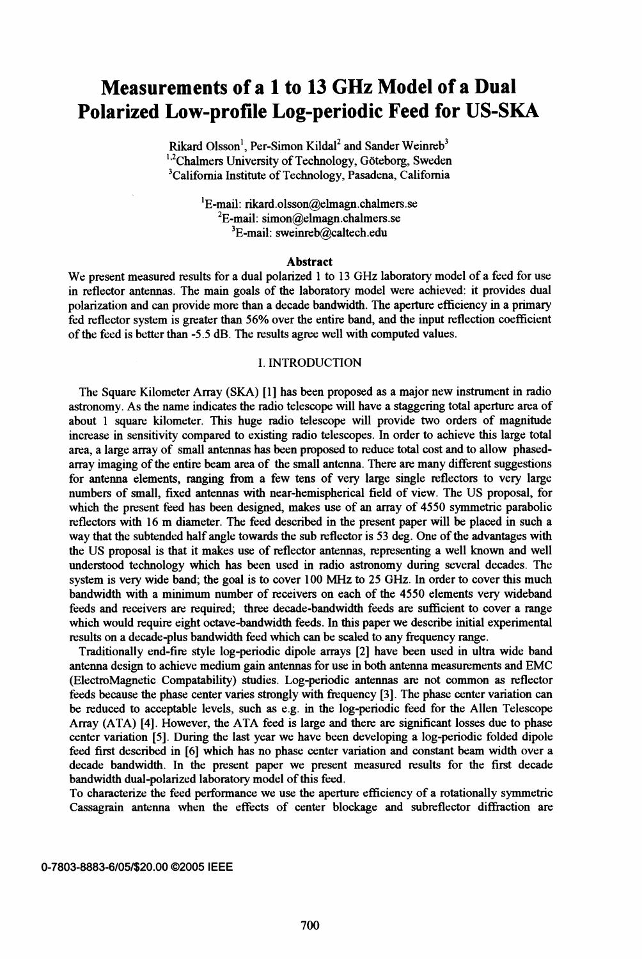# Measurements of <sup>a</sup> <sup>1</sup> to <sup>13</sup> GHz Model of <sup>a</sup> Dual Polarized Low-profile Log-periodic Feed for US-SKA

Rikard Olsson<sup>1</sup>, Per-Simon Kildal<sup>2</sup> and Sander Weinreb<sup>3</sup> <sup>1,2</sup>Chalmers University of Technology, Göteborg, Sweden 3Califomia Institute of Technology, Pasadena, California

> $E$ -mail: rikard.olsson@elmagn.chalmers.se  ${}^{2}E$ -mail: simon@elmagn.chalmers.se 3E-mail: sweinreb@caltech.edu

#### Abstract

We present measured results for <sup>a</sup> dual polarized <sup>1</sup> to <sup>13</sup> GHz laboratory model of <sup>a</sup> feed for use in reflector antennas. The main goals of the laboratory model were achieved: it provides dual polarization and can provide more than a decade bandwidth. The aperture efficiency in a primary fed reflector system is greater than 56% over the entire band, and the input reflection coefficient of the feed is better than -5.5 dB. The results agree well with computed values.

## I. INTRODUCTION

The Square Kilometer Array (SKA) [1] has been proposed as a major new instrument in radio astronomy. As the name indicates the radio telescope will have a staggering total aperture area of about <sup>1</sup> square kilometer. This huge radio telescope will provide two orders of magnitude increase in sensitivity compared to existing radio telescopes. In order to achieve this large total area, a large array of small antennas has been proposed to reduce total cost and to allow phasedarray imaging of the entire beam area of the small antenna. There are many different suggestions for antenna elements, ranging from a few tens of very large single reflectors to very large numbers of small, fixed antennas with near-hemispherical field of view. The US proposal, for which the present feed has been designed, makes use of an array of 4550 symmetric parabolic reflectors with <sup>16</sup> m diameter. The feed described in the present paper will be placed in such <sup>a</sup> way that the subtended half angle towards the sub reflector is 53 deg. One of the advantages with the US proposal is that it makes use of reflector antennas, representing a well known and well understood technology which has been used in radio astronomy during several decades. The system is very wide band; the goal is to cover <sup>100</sup> MHz to <sup>25</sup> GHz. In order to cover this much bandwidth with a minimum number of receivers on each of the 4550 elements very wideband feeds and receivers are required; three decade-bandwidth feeds are sufficient to cover a range which would require eight octave-bandwidth feeds. In this paper we describe initial experimental results on a decade-plus bandwidth feed which can be scaled to any frequency range.

Traditionally end-fire style log-periodic dipole arrays [2] have been used in ultra wide band antenna design to achieve medium gain antennas for use in both antenna measurements and EMC (ElectroMagnetic Compatability) studies. Log-periodic antennas are not common as reflector feeds because the phase center varies strongly with frequency [3]. The phase center variation can be reduced to acceptable levels, such as e.g. in the log-periodic feed for the Allen Telescope Array (ATA) [4]. However, the ATA feed is large and there are significant losses due to phase center variation [5]. During the last year we have been developing a log-periodic folded dipole feed first described in [6] which has no phase center variation and constant beam width over a decade bandwidth. In the present paper we present measured results for the first decade bandwidth dual-polarized laboratory model of this feed.

To characterize the feed perfornance we use the aperture efficiency of a rotationally symmetric Cassagrain antenna when the effects of center blockage and subreflector diffraction are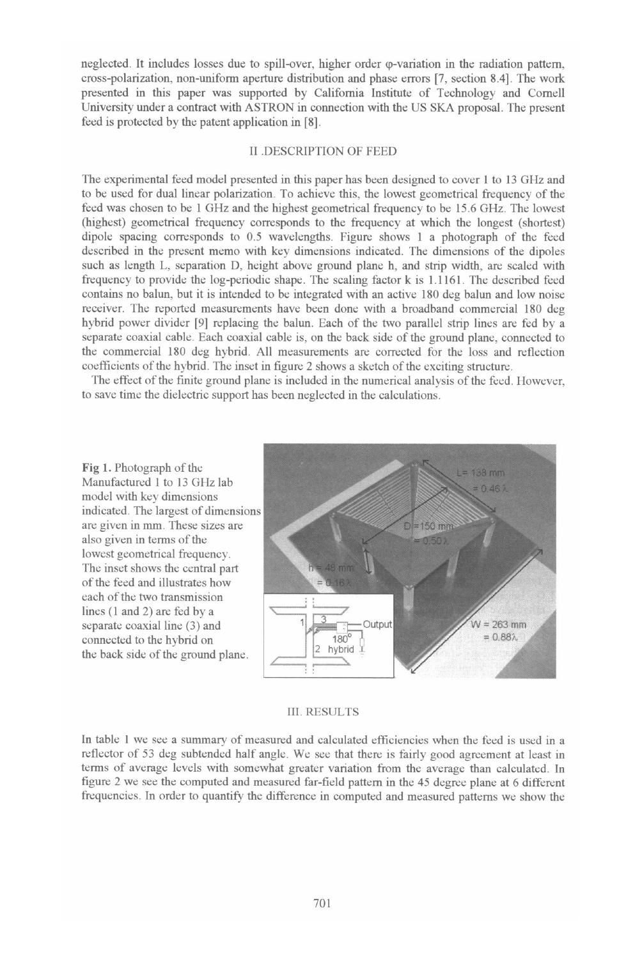neglected. It includes losses due to spill-over, higher order (p-variation in the radiation pattem, cross-polarization, non-uniform aperture distribution and phase errors [7, section 8.4]. The work presented in this paper was supported by Califomia Institute of Technology and Comell University under <sup>a</sup> contract with ASTRON in connection with the US SKA proposal. The present feed is protected by the patent application in [8].

# II DESCRIPTION OF FEED.

The experimental feed model presented in this paper has been designed to cover <sup>I</sup> to <sup>13</sup> GHz and to be used for dual linear polarization. To achieve this, the lowest geometrical frequency of the feed was chosen to be <sup>I</sup> GHz and the highest geometrical frequency to be 15.6 GHz. The lowest (highest) geometrical frequency corresponds to the frequency at which the longest (shortest) dipole spacing corresponds to 0.5 wavelengths. Figure shows <sup>I</sup> a photograph of the feed described in the present memo with key dimensions indicated. The dimensions of the dipoles such as length L, separation D, height above ground plane h, and strip width, are scaled with frequency to provide the log-periodic shape. The scaling factor k is 1.1161. The described feed contains no balun, but it is intended to be integrated with an active 180 deg balun and low noise receiver. The reported measurements have been done with a broadband commercial 180 deg hybrid power divider [91 replacing the balun. Each of the two parallel strip lines are fed by a separate coaxial cable. Each coaxial cable is, on the back side of the ground plane, connected to the commercial 180 deg hybrid. All measurements are corrected for the loss and reflection coefficients of the hybrid. The inset in figure 2 shows a sketch of the exciting structure.

The effect of the finite ground plane is included in the numerical analysis of the feed. However, to save time the dielectric support has been neglected in the calculations.

Fig 1. Photograph of the Manufactured <sup>I</sup> to <sup>13</sup> GHz lab model with key dimensions indicated. The largest of dimensions are given in mm. These sizes are also given in terms of the lowest geometrical frequency. The inset shows the central part of the feed and illustrates how each of the two transmission lines (I and 2) are fed by a connected to the hybrid on  $\left[\begin{array}{cc} 180^\circ \\ 2 \end{array}\right]$  the heek side of the ground plane the back side of the ground plane.



#### III. RESULTS

In table <sup>I</sup> we see a summary of measured and calculated efficiencies when the feed is used in <sup>a</sup> reflector of <sup>53</sup> deg subtended half angle. We see that there is fairly good agreement at least in terms of average levels with somewhat greater variation from the average than calculated. In figure 2 we see the computed and measured far-field pattem in the 45 degree plane at 6 different frequencies. In order to quantify the difference in computed and measured pattems we show the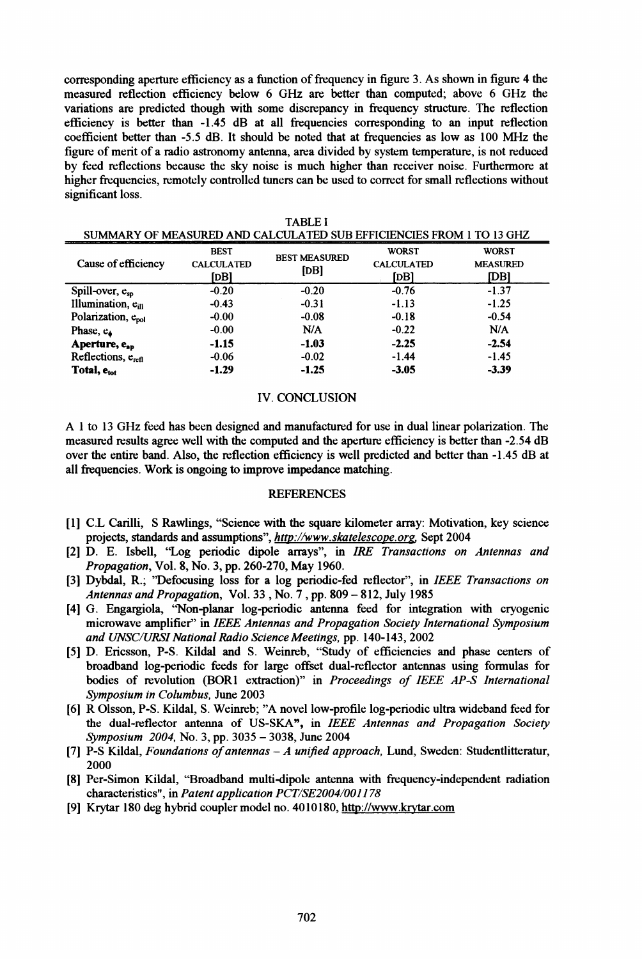corresponding aperture efficiency as a function of frequency in figure 3. As shown in figure 4 the measured reflection efficiency below <sup>6</sup> GHz are better than computed; above 6 GHz the variations are predicted though with some discrepancy in frequency structure. The reflection efficiency is better than -1.45 dB at all frequencies corresponding to an input reflection coefficient better than -5.5 dB. It should be noted that at frequencies as low as <sup>100</sup> MHz the figure of merit of a radio astronomy antenna, area divided by system temperature, is not reduced by feed reflections because the sky noise is much higher than receiver noise. Furthermore at higher frequencies, remotely controlled tuners can be used to correct for small reflections without significant loss.

| SUMMARY OF MEASURED AND CALCULATED SUB EFFICIENCIES FROM 1 TO 13 GHZ |                                          |                              |                                           |                                         |
|----------------------------------------------------------------------|------------------------------------------|------------------------------|-------------------------------------------|-----------------------------------------|
| Cause of efficiency                                                  | <b>BEST</b><br><b>CALCULATED</b><br>[DB] | <b>BEST MEASURED</b><br>[DB] | <b>WORST</b><br><b>CALCULATED</b><br>[DB] | <b>WORST</b><br><b>MEASURED</b><br>[DB] |
| Spill-over, $e_{so}$                                                 | $-0.20$                                  | $-0.20$                      | $-0.76$                                   | $-1.37$                                 |
| Illumination, e <sub>ill</sub>                                       | $-0.43$                                  | $-0.31$                      | $-1.13$                                   | $-1.25$                                 |
| Polarization, e <sub>pol</sub>                                       | $-0.00$                                  | $-0.08$                      | $-0.18$                                   | $-0.54$                                 |
| Phase, e.                                                            | $-0.00$                                  | N/A                          | $-0.22$                                   | N/A                                     |
| Aperture, e <sub>ap</sub>                                            | $-1.15$                                  | $-1.03$                      | $-2.25$                                   | $-2.54$                                 |
| Reflections, e <sub>refl</sub>                                       | $-0.06$                                  | $-0.02$                      | $-1.44$                                   | $-1.45$                                 |
| Total, e <sub>tot</sub>                                              | $-1.29$                                  | $-1.25$                      | $-3.05$                                   | $-3.39$                                 |

# IV. CONCLUSION

A <sup>I</sup> to <sup>13</sup> GHz feed has been designed and manufactured for use in dual linear polarization. The measured results agree well with the computed and the aperture efficiency is better than -2.54 dB over the entire band. Also, the reflection efficiency is well predicted and better than -1.45 dB at all frequencies. Work is ongoing to improve impedance matching.

## **REFERENCES**

- [1] C.L Carilli, S Rawlings, "Science with the square kilometer array: Motivation, key science projects, standards and assumptions", http://www.skatelescope.org. Sept 2004
- [21 D. E. Isbell, "Log periodic dipole arrays", in IRE Transactions on Antennas and Propagation, Vol. 8, No. 3, pp. 260-270, May 1960.
- [3] Dybdal, R.; "Defocusing loss for a log periodic-fed reflector", in IEEE Transactions on Antennas and Propagation, Vol. 33, No. 7, pp. 809 - 812, July 1985
- [4] G. Engargiola, "Non-planar log-periodic antenna feed for integration with cryogenic microwave amplifier" in IEEE Antennas and Propagation Society International Symposium and UNSC/URSI National Radio Science Meetings, pp. 140-143, 2002
- [5] D. Ericsson, P-S. Kildal and S. Weinreb, "Study of efficiencies and phase centers of broadband log-periodic feeds for large offset dual-reflector antennas using formulas for bodies of revolution (BOR1 extraction)" in Proceedings of IEEE AP-S International Symposium in Columbus, June 2003
- [6] R Olsson, P-S. Kildal, S. Weinreb; "A novel low-profile log-periodic ultra wideband feed for the dual-reflector antenna of US-SKA", in IEEE Antennas and Propagation Society Symposium 2004, No. 3, pp. 3035 - 3038, June 2004
- [7] P-S Kildal, Foundations of antennas  $-A$  unified approach, Lund, Sweden: Studentlitteratur, 2000
- [8] Per-Simon Kildal, "Broadband multi-dipole antenna with frequency-independent radiation characteristics", in Patent application PCT/SE2004/001178
- [9] Krytar 180 deg hybrid coupler model no. 4010180, http://www.krvtar.com